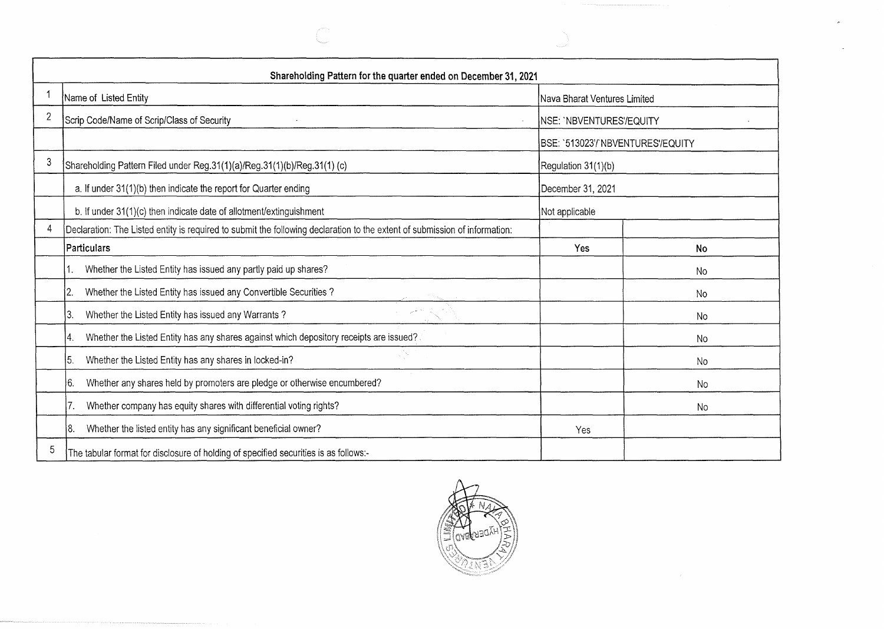|   | Shareholding Pattern for the quarter ended on December 31, 2021                                                            |                                   |           |  |  |  |
|---|----------------------------------------------------------------------------------------------------------------------------|-----------------------------------|-----------|--|--|--|
|   | Name of Listed Entity                                                                                                      | Nava Bharat Ventures Limited      |           |  |  |  |
| 2 | Scrip Code/Name of Scrip/Class of Security                                                                                 | NSE: `NBVENTURES'/EQUITY          |           |  |  |  |
|   |                                                                                                                            | BSE: `513023'/'NBVENTURES'/EQUITY |           |  |  |  |
| 3 | Shareholding Pattern Filed under Reg.31(1)(a)/Reg.31(1)(b)/Reg.31(1) (c)                                                   | Regulation 31(1)(b)               |           |  |  |  |
|   | a. If under 31(1)(b) then indicate the report for Quarter ending                                                           | December 31, 2021                 |           |  |  |  |
|   | b. If under 31(1)(c) then indicate date of allotment/extinguishment                                                        | Not applicable                    |           |  |  |  |
|   | Declaration: The Listed entity is required to submit the following declaration to the extent of submission of information: |                                   |           |  |  |  |
|   | Particulars                                                                                                                | Yes                               | No        |  |  |  |
|   | Whether the Listed Entity has issued any partly paid up shares?                                                            |                                   | No        |  |  |  |
|   | Whether the Listed Entity has issued any Convertible Securities?<br>12.                                                    |                                   | No.       |  |  |  |
|   | Whether the Listed Entity has issued any Warrants?<br> 3.                                                                  |                                   | <b>No</b> |  |  |  |
|   | Whether the Listed Entity has any shares against which depository receipts are issued?<br>14.                              |                                   | No        |  |  |  |
|   | Whether the Listed Entity has any shares in locked-in?<br>15.                                                              |                                   | No        |  |  |  |
|   | Whether any shares held by promoters are pledge or otherwise encumbered?<br>6.                                             |                                   | No        |  |  |  |
|   | Whether company has equity shares with differential voting rights?                                                         |                                   | No        |  |  |  |
|   | Whether the listed entity has any significant beneficial owner?<br>18.                                                     | Yes                               |           |  |  |  |
| 5 | The tabular format for disclosure of holding of specified securities is as follows:-                                       |                                   |           |  |  |  |

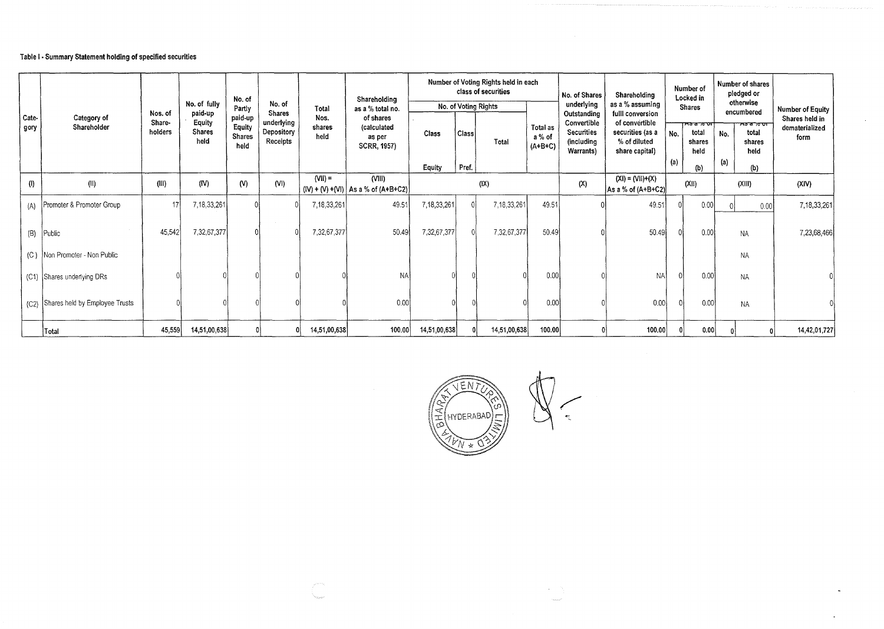## Table I· Summary Statement holding of specified securities

|               |                                |                              |                                            | No. of                              |                                                       |                        | Shareholding                                             |                 |                      | Number of Voting Rights held in each<br>class of securities |                                 | No. of Shares                                                       | Shareholding                                                                             |            | Number of<br>Locked in                        |            | Number of shares<br>pledged or               |                                          |
|---------------|--------------------------------|------------------------------|--------------------------------------------|-------------------------------------|-------------------------------------------------------|------------------------|----------------------------------------------------------|-----------------|----------------------|-------------------------------------------------------------|---------------------------------|---------------------------------------------------------------------|------------------------------------------------------------------------------------------|------------|-----------------------------------------------|------------|----------------------------------------------|------------------------------------------|
|               |                                |                              | No. of fully                               | Partly                              | No. of                                                | Total                  | as a % total no.                                         |                 | No. of Voting Rights |                                                             |                                 | underlying                                                          | as a % assuming                                                                          |            | <b>Shares</b>                                 |            | otherwise<br>encumbered                      | Number of Equity                         |
| Cate-<br>gory | Category of<br>Shareholder     | Nos. of<br>Share-<br>holders | paid-up<br>Equity<br><b>Shares</b><br>held | paid-up<br>Equity<br>Shares<br>held | <b>Shares</b><br>underlying<br>Depository<br>Receipts | Nos.<br>shares<br>held | of shares<br>(calculated<br>as per<br><b>SCRR, 1957)</b> | Class<br>Equity | Class<br>Pref.       | Total                                                       | Total as<br>a % of<br>$(A+B+C)$ | Outstanding<br>Convertible<br>Securities<br>(including<br>Warrants) | fulll conversion<br>of convertible<br>securities (as a<br>% of diluted<br>share capital) | No.<br>(a) | ਲਙ ਕ ਨਾ ਹਾ†<br>total<br>shares<br>held<br>(b) | No.<br>(a) | $75700$ דר<br>total<br>shares<br>held<br>(b) | Shares held in<br>dematerialized<br>form |
| (1)           | (11)                           | (III)                        | (IV)                                       | (N)                                 | (N)                                                   | $(VII) =$              | $($ VIII)<br>$(N) + (V) + (V)$   As a % of (A+B+C2)      |                 |                      | (X)                                                         |                                 | (X)                                                                 | $(XI) = (VII)+(X)$<br>As a % of (A+B+C2)                                                 |            | (X  )                                         |            | (XIII)                                       | (XIV)                                    |
| (A)           | Promoter & Promoter Group      | 17                           | 7,18,33,261                                |                                     |                                                       | 7,18,33,261            | 49.51                                                    | 7,18,33,261     |                      | 7,18,33,261                                                 | 49.51                           |                                                                     | 49.51                                                                                    |            | 0.00                                          |            | 0.00                                         | 7,18,33,261                              |
| (B)           | Public                         | 45,542                       | 7,32,67,377                                |                                     |                                                       | 7,32,67,377            | 50.49                                                    | 7,32,67,377     |                      | 7,32,67,377                                                 | 50.49                           |                                                                     | 50.49                                                                                    |            | 0.00                                          |            | <b>NA</b>                                    | 7,23,68,466                              |
| (C)           | Non Promoter - Non Public      |                              |                                            |                                     |                                                       |                        |                                                          |                 |                      |                                                             |                                 |                                                                     |                                                                                          |            |                                               |            | <b>NA</b>                                    |                                          |
|               | (C1) Shares underlying DRs     |                              |                                            |                                     |                                                       |                        | <b>NA</b>                                                |                 |                      |                                                             | 0.00                            |                                                                     | <b>NA</b>                                                                                |            | 0.00                                          |            | NA                                           |                                          |
| (C2)          | Shares held by Employee Trusts |                              |                                            |                                     |                                                       |                        | 0.00                                                     |                 |                      |                                                             | 0.00                            |                                                                     | 0.00                                                                                     |            | 0.00                                          |            | <b>NA</b>                                    |                                          |
|               | Total                          | 45,559                       | 14,51,00,638                               |                                     |                                                       | 14,51,00,638           | 100,00                                                   | 14,51,00,638    |                      | 14,51,00,638                                                | 100.00                          |                                                                     | 100.00                                                                                   |            | 0.00                                          |            |                                              | 14,42,01,727                             |



 $\sim$ 

 $\tilde{\phantom{a}}$ 

 $\bullet$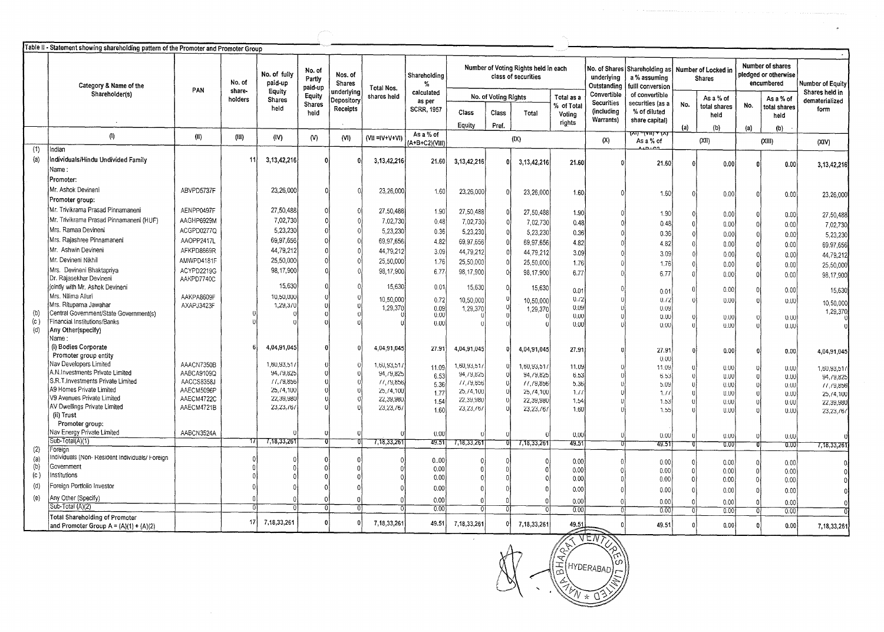|     | Table II - Statement showing shareholding pattern of the Promoter and Promoter Group |                          |                  |                                   |                             |                                 |                       |                             |                         |                      |                                                             |                                                   |                                  |                                                                                       |          |                           |                                                        |                             |                                    |
|-----|--------------------------------------------------------------------------------------|--------------------------|------------------|-----------------------------------|-----------------------------|---------------------------------|-----------------------|-----------------------------|-------------------------|----------------------|-------------------------------------------------------------|---------------------------------------------------|----------------------------------|---------------------------------------------------------------------------------------|----------|---------------------------|--------------------------------------------------------|-----------------------------|------------------------------------|
|     | Category & Name of the                                                               | PAN                      | No. of<br>share- | No. of fully<br>paid-up<br>Equity | No. of<br>Partly<br>paid-up | Nos. of<br>Shares<br>underlying | Total Nos.            | Shareholding<br>%           |                         |                      | Number of Voting Rights held in each<br>class of securities |                                                   | underlying<br>Outstanding        | No. of Shares Shareholding as Number of Locked in<br>a % assuming<br>fulll conversion |          | <b>Shares</b>             | Number of shares<br>pledged or otherwise<br>encumbered |                             | Number of Equity<br>Shares held in |
|     | Shareholder(s)                                                                       |                          | holders          | <b>Shares</b>                     | Equity<br><b>Shares</b>     | Depository                      | shares held           | calculated<br>as per        |                         | No. of Voting Rights |                                                             | Total as a<br>% of Tota                           | Convertible<br><b>Securities</b> | of convertible<br>securities (as a                                                    | No.      | As a % of<br>total shares | No.                                                    | As a % of                   | dematerialized                     |
|     |                                                                                      |                          |                  | held                              | held                        | Receipts                        |                       | <b>SCRR, 1957</b>           | Class<br>Eauity         | Class<br>Pref.       | Total                                                       | Voting<br>rights                                  | (including<br>Warrants)          | % of diluted<br>share capital)                                                        | (a)      | held<br>(b)               | (a)                                                    | total shares<br>held<br>(b) | form                               |
|     | (1)                                                                                  | (II)                     | (III)            | (IV)                              | (N)                         | (NI)                            | $(VII = IV + V + VI)$ | As a % of<br>(A+B+C2)(VIII) | (X)                     |                      | (X)                                                         | रू <del>ष "स्थान स्</del> का<br>(XI)<br>As a % of |                                  |                                                                                       |          | (XIII)                    | (XIV)                                                  |                             |                                    |
| (1) | Indian                                                                               |                          |                  |                                   |                             |                                 |                       |                             |                         |                      |                                                             |                                                   |                                  |                                                                                       |          |                           |                                                        |                             |                                    |
| (a) | Individuals/Hindu Undivided Family                                                   |                          | 11               | 3, 13, 42, 216                    |                             |                                 | 3, 13, 42, 216        | 21.60                       | 3,13,42,216             |                      | 3, 13, 42, 216                                              | 21.60                                             |                                  | 21.60                                                                                 | $\theta$ | 0.00                      |                                                        | 0.00                        | 3, 13, 42, 216                     |
|     | Name :                                                                               |                          |                  |                                   |                             |                                 |                       |                             |                         |                      |                                                             |                                                   |                                  |                                                                                       |          |                           |                                                        |                             |                                    |
|     | Promoter:                                                                            |                          |                  |                                   |                             |                                 |                       |                             |                         |                      |                                                             |                                                   |                                  |                                                                                       |          |                           |                                                        |                             |                                    |
|     | Mr. Ashok Devineni                                                                   | ABVPD5737F               |                  | 23,26,000                         |                             |                                 | 23,26,000             | 1.60                        | 23,26,000               | ſ                    | 23,26,000                                                   | 1.60                                              |                                  | 1.60                                                                                  | $\Omega$ |                           |                                                        |                             |                                    |
|     | Promoter group:                                                                      |                          |                  |                                   |                             |                                 |                       |                             |                         |                      |                                                             |                                                   |                                  |                                                                                       |          | 0.00                      |                                                        | 0.00                        | 23,26,000                          |
|     | Mr. Trivikrama Prasad Pinnamaneni                                                    | AENPP0497F               |                  | 27,50,488                         |                             |                                 | 27,50,488             | 1.90                        | 27,50,488               |                      | 27,50,488                                                   | 1.90                                              |                                  |                                                                                       |          |                           |                                                        |                             |                                    |
|     | Mr. Trivikrama Prasad Pinnamaneni (HUF)                                              | AAGHP6929M               |                  | 7,02,730                          |                             |                                 | 7,02,730              | 0.48                        | 7,02,730                |                      |                                                             |                                                   |                                  | 1.90                                                                                  | $\Omega$ | 0.00                      |                                                        | 0.00                        | 27,50,488                          |
|     | Mrs. Ramaa Devineni                                                                  | ACGPD0277Q               |                  | 5,23,230                          |                             |                                 | 5,23,230              | 0.36                        |                         |                      | 7,02,730                                                    | 0.48                                              |                                  | 0.48                                                                                  | $\Omega$ | 0.00                      |                                                        | 0.00                        | 7,02,730                           |
|     | Mrs. Rajashree Pinnamaneni                                                           | AAOPP2417L               |                  | 69,97,656                         |                             |                                 | 69,97,656             |                             | 5,23,230                |                      | 5,23,230                                                    | 0.36                                              |                                  | 0.36                                                                                  | $\Omega$ | 0.00                      |                                                        | 0.00                        | 5,23,230                           |
|     | Mr. Ashwin Devineni                                                                  | AFKPD8669R               |                  | 44,79,212                         |                             |                                 |                       | 4.82                        | 69,97,656               |                      | 69,97,656                                                   | 4.82                                              |                                  | 4.82                                                                                  |          | 0.00                      |                                                        | 0.00                        | 69,97,656                          |
|     | Mr. Devineni Nikhil                                                                  | AMWPD4181F               |                  | 25,50,000                         |                             |                                 | 44,79,212             | 3.09                        | 44,79,212               |                      | 44,79,212                                                   | 3.09                                              |                                  | 3.09                                                                                  |          | 0.00                      |                                                        | 0.00                        | 44,79,212                          |
|     | Mrs. Devineni Bhaktapriya                                                            |                          |                  |                                   |                             |                                 | 25,50,000             | 1.76                        | 25,50,000               |                      | 25,50,000                                                   | 1.76                                              |                                  | 1.76                                                                                  |          | 0.00                      |                                                        | 0.00                        | 25,50,000                          |
|     | Dr. Rajasekhar Devineni                                                              | ACYPD2219G<br>AAKPD7740C |                  | 98, 17, 900                       |                             |                                 | 98,17,900             | 6.77                        | 98,17,900               |                      | 98,17,900                                                   | 6.77                                              |                                  | 6.77                                                                                  |          | 0.00                      |                                                        | 0.00                        | 98,17,900                          |
|     | jointly with Mr. Ashok Devineni                                                      |                          |                  | 15,630                            |                             |                                 | 15,630                | 0.01                        | 15,630                  |                      | 15,630                                                      |                                                   |                                  |                                                                                       |          |                           |                                                        |                             |                                    |
|     | Mrs. Nilima Alluri                                                                   | AAKPA8609F               |                  | 10,50,000                         |                             |                                 |                       |                             |                         |                      |                                                             | 0.01                                              |                                  | 0.01                                                                                  |          | 0.00                      |                                                        | 0.00                        | 15,630                             |
|     | Mrs. Rituparna Jawahar                                                               | AXAPJ3423F               |                  | 1,29,370                          |                             |                                 | 10,50,000<br>1,29,370 | 0.72                        | 10,50,000               |                      | 10,50,000                                                   | 0.72<br>0.09                                      |                                  | 0.72<br>0.09                                                                          |          | 0.00                      |                                                        | 0.00                        | 10,50,000                          |
|     | Central Government/State Government(s)                                               |                          |                  |                                   |                             |                                 |                       | 0.09<br>0.00                | 1,29,370                |                      | 1,29,370                                                    | 0.00                                              |                                  | 0.00                                                                                  |          | 0.00                      |                                                        | 0.00                        | 1,29,370                           |
| (c) | Financial Institutions/Banks                                                         |                          |                  |                                   |                             |                                 |                       | 0.00                        |                         |                      |                                                             | 0.00                                              |                                  | 0.00                                                                                  |          | 0.00                      |                                                        | 0.00                        |                                    |
| (d) | Any Other(specify)                                                                   |                          |                  |                                   |                             |                                 |                       |                             |                         |                      |                                                             |                                                   |                                  |                                                                                       |          |                           |                                                        |                             |                                    |
|     | Name:                                                                                |                          |                  |                                   |                             |                                 |                       |                             |                         |                      |                                                             |                                                   |                                  |                                                                                       |          |                           |                                                        |                             |                                    |
|     | (i) Bodies Corporate<br>Promoter group entity                                        |                          |                  | 4,04,91,045                       |                             |                                 | 4,04,91,045           | 27.91                       | 4,04,91,045             |                      | 4,04,91,045                                                 | 27.91                                             |                                  | 27.91                                                                                 |          | 0.00                      |                                                        | 0.00                        | 4,04,91,045                        |
|     | Nav Developers Limited                                                               | AAACN7350B               |                  | 1,60,93,51                        |                             |                                 | 1,60,93,51,           |                             |                         |                      |                                                             |                                                   |                                  | 0.00                                                                                  |          |                           |                                                        |                             |                                    |
|     | A.N.Investments Private Limited                                                      | AABCA9109Q               |                  | 94,79,825                         |                             |                                 | 94,79,825             | 11.09                       | 1,60,93,51<br>94,79,825 |                      | 1,60,93,517<br>94,79,825                                    | 11.09                                             |                                  | 11.09                                                                                 |          | 0.00                      |                                                        | 0.00                        | 1,60,93,51/                        |
|     | S.R.T.Investments Private Limited                                                    | AACCS8358J               |                  | 11, 19, 856                       |                             |                                 | 11, 19, 856           | 6.53                        | 11.79,856               |                      | 11, 19, 856                                                 | 6.53<br>5.36                                      |                                  | 6.53                                                                                  |          | 0.00                      |                                                        | 0.00                        | 94,79,825                          |
|     | A9 Homes Private Limited                                                             | AAECM5096P               |                  | 25, 74, 100                       |                             |                                 | 25,74,100             | 5.36<br>1.77                | 25,74,100               |                      | 25,74,100                                                   | 1.11                                              |                                  | 5.09<br>1.11                                                                          |          | 0.00<br>0.00              |                                                        | 0.00<br>0.00                | 11, 19, 856                        |
|     | V9 Avenues Private Limited                                                           | AAECM4722C               |                  | 22,39,980                         |                             |                                 | 22,39,980             | 1.54                        | 22,39,980               |                      | 22,39,980                                                   | 1.54                                              |                                  | 1.53                                                                                  |          | 0.00                      |                                                        | 0.00                        | 25,74,100<br>22,39,980             |
|     | AV Dwellings Private Limited                                                         | AAECM4721B               |                  | 23,23,76                          |                             |                                 | 23,23,76              | 1.60                        | 23,23,767               |                      | 23, 23, /6/                                                 | 1.60                                              |                                  | 1.55                                                                                  |          | 0.00                      |                                                        | 0.00                        | 23,23,767                          |
|     | (ii) Trust                                                                           |                          |                  |                                   |                             |                                 |                       |                             |                         |                      |                                                             |                                                   |                                  |                                                                                       |          |                           |                                                        |                             |                                    |
|     | Promoter group:<br>Nav Energy Private Limited                                        |                          |                  |                                   |                             |                                 |                       |                             |                         |                      |                                                             |                                                   |                                  |                                                                                       |          |                           |                                                        |                             |                                    |
|     | Sub-Total(A)(1)                                                                      | AABCN3524A               |                  | 7,18,33,261                       |                             |                                 |                       | 0.00<br>49.51               |                         |                      |                                                             | 0.00                                              |                                  | 0.00                                                                                  |          | 0.00                      |                                                        | 0.00                        |                                    |
| (2) | Foreign                                                                              |                          |                  |                                   |                             |                                 | 7,18,33,261           |                             | 7,18,33,261             |                      | 7,18,33,261                                                 | 49.51                                             |                                  | 49.51                                                                                 | τ        | 0.00                      |                                                        | 0.00                        | 7, 18, 33, 261                     |
| (a) | Individuals (Non- Resident Individuals/ Foreign                                      |                          |                  |                                   |                             |                                 |                       | 0.00                        |                         |                      |                                                             | 0.00                                              | $\Omega$                         |                                                                                       |          |                           |                                                        |                             |                                    |
| (b) | Government                                                                           |                          |                  |                                   |                             |                                 |                       | 0.00                        |                         |                      |                                                             | 0.00                                              |                                  | 0.00<br>0.00                                                                          | $\Omega$ | 0.00<br>0.00              |                                                        | 0.00                        |                                    |
| (c) | nstitutions                                                                          |                          |                  |                                   |                             |                                 |                       | 0.00                        |                         |                      |                                                             | 0.00                                              |                                  | 0.00                                                                                  |          | 0.00                      |                                                        | 0.00<br>0.00                |                                    |
| (d) | Foreign Portfolio Investor                                                           |                          |                  |                                   |                             |                                 |                       | 0.00                        |                         |                      |                                                             | 0.00                                              |                                  | 0.00                                                                                  |          | 0.00                      |                                                        |                             |                                    |
| (e) | Any Other (Specify)                                                                  |                          |                  |                                   |                             |                                 |                       |                             |                         |                      |                                                             |                                                   |                                  |                                                                                       |          |                           |                                                        | 0.00                        |                                    |
|     | Sub-Total (A)(2)                                                                     |                          |                  |                                   |                             |                                 |                       | 0.00<br>0.00                |                         |                      |                                                             | 0.00<br>0.00                                      |                                  | 0.00<br>0.00                                                                          | -01      | 0.00<br>0.00              | ึ ด.                                                   | 0.00<br>0.00                |                                    |
|     | Total Shareholding of Promoter<br>and Promoter Group $A = (A)(1) + (A)(2)$           |                          | 17               | 7,18,33,261                       |                             |                                 | 7,18,33,261           | 49.51                       | 7, 18, 33, 261          |                      | 7, 18, 33, 261                                              | 49.51                                             |                                  | 49.51                                                                                 |          | 0.00                      |                                                        | 0.00                        | 7, 18, 33, 261                     |

 $\sim$ 

 $\bigotimes_{i=1}^n E_i$ AVERABAD ra)<br>10  $\sqrt{2}$ 

 $\lambda$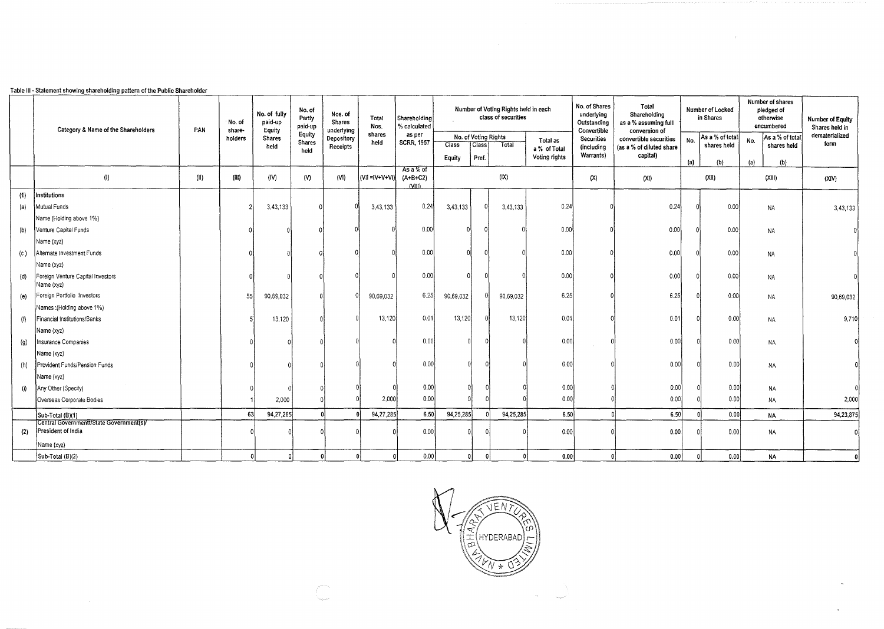|                     | Category & Name of the Shareholders                            | PAN  | No. of<br>share- | No. of fully<br>paid-up<br>Equity | No. of<br>Partly<br>paid-up | Nos. of<br>Shares<br>underlying | Total<br>Nos.     | Shareholding<br>% calculated      |              |                      | class of securities | No. of Shares<br>Number of Voting Rights held in each<br>Outstanding |                           | Total<br>Shareholding<br>as a % assuming fulll<br>conversion of |     | Number of Locked<br>in Shares | Number of shares<br>pledged of<br>otherwise<br>encumbered | <b>Number of Equity</b><br>Shares held in |
|---------------------|----------------------------------------------------------------|------|------------------|-----------------------------------|-----------------------------|---------------------------------|-------------------|-----------------------------------|--------------|----------------------|---------------------|----------------------------------------------------------------------|---------------------------|-----------------------------------------------------------------|-----|-------------------------------|-----------------------------------------------------------|-------------------------------------------|
|                     |                                                                |      | holders          | <b>Shares</b>                     | Equity<br>Shares            | Depository                      | shares<br>held    | as per<br><b>SCRR, 1957</b>       |              | No. of Voting Rights |                     | Total as                                                             | Convertible<br>Securities | convertible securities                                          | No. | As a % of total               | As a % of total<br>No.                                    | dematerialized                            |
|                     |                                                                |      |                  | held                              | held                        | Receipts                        |                   |                                   | <b>Class</b> | Class <sup></sup>    | Total               | a % of Total                                                         | (including<br>Warrants)   | (as a % of diluted share<br>capital)                            |     | shares held                   | shares held                                               | form                                      |
|                     |                                                                |      |                  |                                   |                             |                                 |                   |                                   | Equity       | Pref.                |                     | Voting rights                                                        |                           |                                                                 | (a) | (b)                           | (a)<br>(b)                                                |                                           |
|                     | $\langle 0 \rangle$                                            | (11) | (HI)             | (IV)                              | (N)                         | (N)                             | $(VII = IV+V+VI)$ | As a % of<br>$(A+B+C2)$<br>(VIII) |              |                      | (X)                 |                                                                      | (X)                       | (XI)                                                            |     | (XII)                         | (XIII)                                                    | (XIV)                                     |
| (1)                 | Institutions                                                   |      |                  |                                   |                             |                                 |                   |                                   |              |                      |                     |                                                                      |                           |                                                                 |     |                               |                                                           |                                           |
| (a)                 | Mutual Funds                                                   |      |                  | 3,43,133                          |                             |                                 | 3,43,133          | 0.24                              | 3,43,133     |                      | 3,43,133            | 0.24                                                                 |                           | 0.24                                                            |     | 0.00                          | NA                                                        | 3,43,133                                  |
|                     | Name (Holding above 1%)                                        |      |                  |                                   |                             |                                 |                   |                                   |              |                      |                     |                                                                      |                           |                                                                 |     |                               |                                                           |                                           |
| (0)                 | Venture Capital Funds                                          |      |                  |                                   |                             |                                 |                   | 0.00                              |              |                      |                     | 0.00                                                                 |                           | 0.00                                                            |     | 0.00                          | NA                                                        |                                           |
|                     | Name (xyz)                                                     |      |                  |                                   |                             |                                 |                   |                                   |              |                      |                     |                                                                      |                           |                                                                 |     |                               |                                                           |                                           |
| (c)                 | Alternate Investment Funds                                     |      |                  |                                   |                             |                                 |                   | 0.00                              |              |                      |                     | 0.00                                                                 |                           | 0.00                                                            |     | 0.00                          | <b>NA</b>                                                 |                                           |
|                     | Name (xyz)                                                     |      |                  |                                   |                             |                                 |                   |                                   |              |                      |                     |                                                                      |                           |                                                                 |     |                               |                                                           |                                           |
| (d)                 | Foreign Venture Capital Investors<br>Name (xyz)                |      |                  |                                   |                             |                                 |                   | 0.00                              |              |                      |                     | 0.00                                                                 |                           | 0.00                                                            |     | 0.00                          | NA                                                        |                                           |
| (e)                 | Foreign Portfolio Investors                                    |      | 55               | 90,69,032                         |                             |                                 | 90,69,032         | 6.25                              | 90,69,032    |                      | 90,69,032           | 6.25                                                                 |                           | 6.25                                                            |     | 0.00                          | NA                                                        | 90,69,032                                 |
|                     | Names: (Holding above 1%)                                      |      |                  |                                   |                             |                                 |                   |                                   |              |                      |                     |                                                                      |                           |                                                                 |     |                               |                                                           |                                           |
| (f)                 | Financial Institutions/Banks                                   |      |                  | 13,120                            |                             |                                 | 13,120            | 0.01                              | 13,120       |                      | 13,120              | 0.01                                                                 |                           | 0.01                                                            |     | 0.00                          | <b>NA</b>                                                 | 9,710                                     |
|                     | Name (xyz)                                                     |      |                  |                                   |                             |                                 |                   |                                   |              |                      |                     |                                                                      |                           |                                                                 |     |                               |                                                           |                                           |
| $\langle 9 \rangle$ | <b>Insurance Companies</b>                                     |      |                  |                                   |                             |                                 |                   | 0.00                              |              |                      |                     | 0.00                                                                 |                           | 0.00                                                            |     | 0.00                          | <b>NA</b>                                                 |                                           |
|                     | Name (xyz)                                                     |      |                  |                                   |                             |                                 |                   |                                   |              |                      |                     |                                                                      |                           |                                                                 |     |                               |                                                           |                                           |
| (h)                 | Provident Funds/Pension Funds                                  |      |                  |                                   |                             |                                 |                   | 0.00                              |              |                      |                     | 0.00                                                                 |                           | 0.00                                                            |     | 0.00                          | NA                                                        |                                           |
|                     | Name (xyz)                                                     |      |                  |                                   |                             |                                 |                   |                                   |              |                      |                     |                                                                      |                           |                                                                 |     |                               |                                                           |                                           |
| $\langle i \rangle$ | Any Other (Specify)                                            |      |                  |                                   |                             |                                 |                   | 0.00                              |              | n١                   |                     | 0.001                                                                |                           | 0.00                                                            |     | 0.00                          | <b>NA</b>                                                 |                                           |
|                     | Overseas Corporate Bodies                                      |      |                  | 2,000                             |                             |                                 | 2,000             | 0.00.                             |              |                      |                     | 0.00                                                                 |                           | 0.00                                                            |     | 0.00                          | NA                                                        | 2,000                                     |
|                     | Sub-Total (B)(1)                                               |      | 63               | 94,27,285                         |                             |                                 | 94,27,285         | 6.50                              | 94,25,285    |                      | 94,25,285           | 6.50                                                                 |                           | 6.50                                                            |     | 0.001                         | <b>NA</b>                                                 | 94,23,875                                 |
| (2)                 | Central Governmentt/State Government(s)/<br>President of India |      |                  |                                   |                             |                                 |                   | 0.00                              |              |                      |                     | 0.00                                                                 |                           | 0.00                                                            |     | 0.00                          | NA                                                        |                                           |
|                     | Name (xyz)                                                     |      |                  |                                   |                             |                                 |                   |                                   |              |                      |                     |                                                                      |                           |                                                                 |     |                               |                                                           |                                           |
|                     | Sub-Total (B)(2)                                               |      |                  |                                   |                             | $\Omega$                        |                   | 0.00                              |              | ۵l                   | $\Omega$            | 0.00                                                                 |                           | 0.00                                                            |     | 0.00                          | <b>NA</b>                                                 |                                           |

## Table Ill • Statement showing shareholding pattern of the Public Shareholder

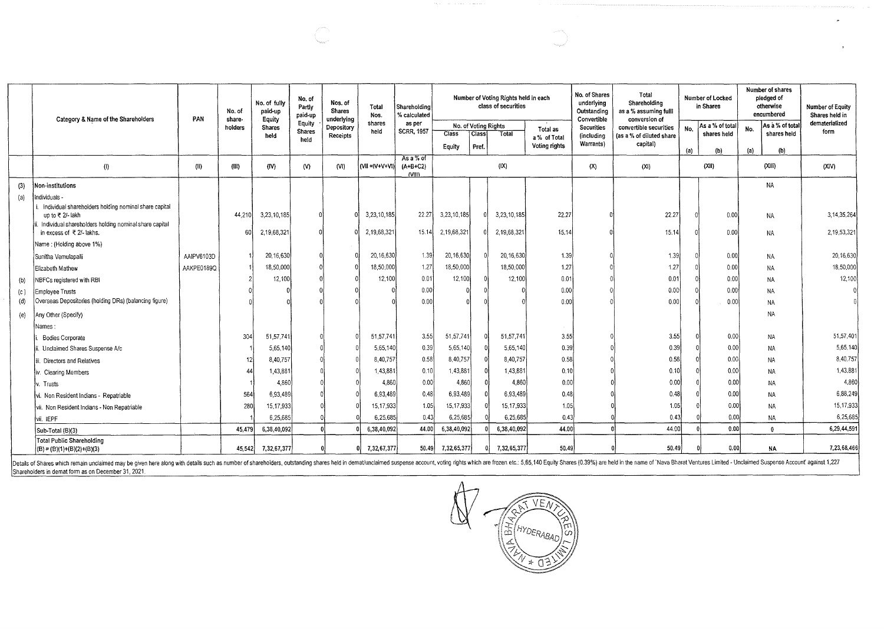|     | Category & Name of the Shareholders                                         | PAN        | No. of<br>share- | No. of fully<br>paid-up<br>Equity | No. of<br>Partly<br>paid-up | Nos. of<br>Shares<br>underlying | Total<br>Nos.        | Shareholding<br>% calculated |                      |       | Number of Voting Rights held in each<br>class of securities |               | No. of Shares<br>underlying<br>Outstanding<br>Convertible | Total<br>Shareholding<br>as a % assuming full!<br>conversion of |     | Number of Locked<br>in Shares | Number of shares<br>pledged of<br>otherwise<br>encumbered |                 | <b>Number of Equity</b><br>Shares held in |
|-----|-----------------------------------------------------------------------------|------------|------------------|-----------------------------------|-----------------------------|---------------------------------|----------------------|------------------------------|----------------------|-------|-------------------------------------------------------------|---------------|-----------------------------------------------------------|-----------------------------------------------------------------|-----|-------------------------------|-----------------------------------------------------------|-----------------|-------------------------------------------|
|     |                                                                             |            | holders          | <b>Shares</b>                     | Equity                      | Depository                      | shares<br>held       | as per                       | No. of Voting Rights |       |                                                             | Total as      | <b>Securities</b>                                         | convertible securities                                          | No. | As a % of total               | No.                                                       | As a % of total | dematerialized                            |
|     |                                                                             |            |                  | held                              | Shares<br>heid              | Receipts                        |                      | <b>SCRR, 1957</b>            | Class                | Class | Total                                                       | a % of Total  | (including                                                | (as a % of diluted share                                        |     | shares held                   |                                                           | shares held     | form                                      |
|     |                                                                             |            |                  |                                   |                             |                                 |                      |                              | Equity               | Pref. |                                                             | Voting rights | Warrants)                                                 | capital)                                                        | (a) | (b)                           | (a)                                                       | (b)             |                                           |
|     | (1)                                                                         | (11)       | (HI)             | (IV)                              | $\mathsf{W}$                | (VI)                            | $(VII = V + V + VI)$ | As a % of<br>$(A+B+C2)$      |                      |       | (IX)                                                        |               | (X)                                                       | (X <sub>i</sub> )                                               |     | (XII)                         |                                                           | (XIII)          | (XIV)                                     |
|     |                                                                             |            |                  |                                   |                             |                                 |                      | NIII                         |                      |       |                                                             |               |                                                           |                                                                 |     |                               |                                                           |                 |                                           |
| (3) | Non-institutions                                                            |            |                  |                                   |                             |                                 |                      |                              |                      |       |                                                             |               |                                                           |                                                                 |     |                               |                                                           | <b>NA</b>       |                                           |
| (a) | ndividuals -                                                                |            |                  |                                   |                             |                                 |                      |                              |                      |       |                                                             |               |                                                           |                                                                 |     |                               |                                                           |                 |                                           |
|     | Individual shareholders holding nominal share capital                       |            |                  |                                   |                             |                                 |                      |                              |                      |       |                                                             |               |                                                           |                                                                 |     |                               |                                                           |                 |                                           |
|     | up to ₹ 2/- lakh<br>. Individual shareholders holding nominal share capital |            | 44,210           | 3,23,10,185                       |                             |                                 | 3,23,10,185          | 22.27                        | 3,23,10,185          |       | 3,23,10,185                                                 | 22.27         |                                                           | 22.27                                                           |     | 0.00                          |                                                           | NA              | 3,14,35,264                               |
|     | in excess of ₹ 2/- lakhs.                                                   |            | 60               | 2,19,68,321                       |                             |                                 | 2,19,68,321          | 15.14                        | 2,19,68,32           |       | 2,19,68,321                                                 | 15.14         |                                                           | 15.14                                                           |     | 0.00                          |                                                           | <b>NA</b>       | 2,19,53,321                               |
|     | Name: (Holding above 1%)                                                    |            |                  |                                   |                             |                                 |                      |                              |                      |       |                                                             |               |                                                           |                                                                 |     |                               |                                                           |                 |                                           |
|     | Sunitha Vemulapalli                                                         | AAIPV6103D |                  | 20,16,630                         |                             |                                 | 20,16,630            | 1.39                         | 20,16,630            |       | 20,16,630                                                   | 1.39          |                                                           | 1.39                                                            |     | 0.00                          |                                                           | NA              | 20, 16, 630                               |
|     | Elizabeth Mathew                                                            | AAKPE0189Q |                  | 18,50,000                         |                             |                                 | 18,50,000            | 1.27                         | 18,50,000            |       | 18,50,000                                                   | 1.27          |                                                           | 1.27                                                            |     | 0.00                          |                                                           | <b>NA</b>       | 18,50,000                                 |
| (b) | NBFCs registered with RBI                                                   |            |                  | 12,100                            |                             |                                 | 12,100               | 0.01                         | 12,100               |       | 12,100                                                      | 0.01          |                                                           | 0.01                                                            |     | 0.00                          |                                                           | <b>NA</b>       | 12,100                                    |
| (c) | Employee Trusts                                                             |            |                  |                                   |                             |                                 |                      | 0.00                         |                      |       |                                                             | 0.00          |                                                           | 0.00                                                            |     | 0.00                          |                                                           | <b>NA</b>       |                                           |
| (d) | Overseas Depositories (holding DRs) (balancing figure)                      |            |                  |                                   |                             |                                 |                      | 0.00                         |                      |       |                                                             | 0.00          |                                                           | 0.00                                                            |     | 0.00                          |                                                           | <b>NA</b>       |                                           |
| (e) | Any Other (Specify)                                                         |            |                  |                                   |                             |                                 |                      |                              |                      |       |                                                             |               |                                                           |                                                                 |     |                               |                                                           | NA              |                                           |
|     | lames                                                                       |            |                  |                                   |                             |                                 |                      |                              |                      |       |                                                             |               |                                                           |                                                                 |     |                               |                                                           |                 |                                           |
|     | <b>Bodies Corporate</b>                                                     |            | 304              | 51,57,741                         |                             |                                 | 51,57,741            | 3.55                         | 51,57,741            |       | 51,57,741                                                   | 3.55          |                                                           | 3.55                                                            |     | 0.00                          |                                                           | <b>NA</b>       | 51,57,401                                 |
|     | i. Unclaimed Shares Suspense A/c                                            |            |                  | 5,65,140                          |                             |                                 | 5,65,140             | 0.39                         | 5.65,140             |       | 5,65,140                                                    | 0.39          |                                                           | 0.39                                                            |     | 0.00                          |                                                           | NA              | 5.65.140                                  |
|     | Directors and Relatives                                                     |            | 12               | 8,40,757                          |                             |                                 | 8,40,757             | 0.58                         | 8,40,757             |       | 8,40,757                                                    | 0.58          |                                                           | 0.58                                                            |     | 0.00                          |                                                           | <b>NA</b>       | 8,40,757                                  |
|     | iv. Clearing Members                                                        |            | $\Delta$         | 1,43,881                          |                             |                                 | 1,43,881             | 0.10                         | 1,43,881             |       | 1,43,881                                                    | 0.10          |                                                           | 0.10                                                            |     | 0.00                          |                                                           | NA              | 1,43,881                                  |
|     | v. Trusts                                                                   |            |                  | 4,860                             |                             |                                 | 4,860                | 0.00                         | 4,860                |       | 4,860                                                       | 0.00          |                                                           | 0.00                                                            |     | 0.00                          |                                                           | NA              | 4,860                                     |
|     | vi. Non Resident Indians - Repatriable                                      |            | 564              | 6,93,489                          |                             |                                 | 6,93,489             | 0.48                         | 6,93,489             |       | 6,93,489                                                    | 0.48          |                                                           | 0.48                                                            |     | 0.00                          |                                                           | <b>NA</b>       | 6.88.249                                  |
|     | vii. Non Resident Indians - Non Repatriable                                 |            | 280              | 15, 17, 933                       |                             |                                 | 15.17,933            | 1.05                         | 15, 17, 933          |       | 15,17,933                                                   | 1.05          |                                                           | 1.05                                                            |     | 0.00                          |                                                           | <b>NA</b>       | 15, 17, 933                               |
|     | vii. IEPF                                                                   |            |                  | 6.25.685                          |                             |                                 | 6,25,685             | 0.43                         | 6.25,685             |       | 6,25,685                                                    | 0.43          |                                                           | 0.43                                                            |     | 0.00                          |                                                           | NA              | 6,25,685                                  |
|     | Sub-Total (B)(3)                                                            |            | 45,479           | 6,38,40,092                       |                             |                                 | 6,38,40,092          | 44.00                        | 6,38,40,092          |       | 6,38,40,092                                                 | 44.00         |                                                           | 44.00                                                           |     | 0.00                          |                                                           | $\mathbf{r}$    | 6,29,44,591                               |
|     | <b>Total Public Shareholding</b><br>$(B) = (B)(1)+(B)(2)+(B)(3)$            |            | 45,542           | 7,32,67,377                       |                             |                                 | 7, 32, 67, 377<br>0  | 50.49                        | 7,32,65,377          |       | 7,32,65,377                                                 | 50.49         |                                                           | 50.49                                                           |     | 0.00                          |                                                           | NA              | 7,23,68,466                               |

Details of Shares which remain unclaimed may be given here along with details such as number of shareholders, outstanding shares held in demat/unclaimed suspense account, voting rights which are frozen etc.: 5,65,140 Equit

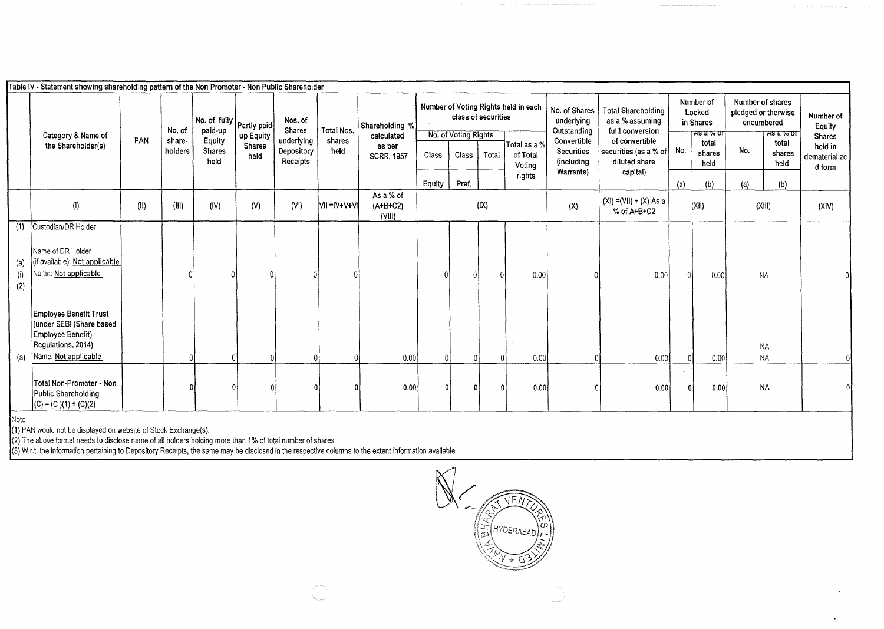|                   | Table IV - Statement showing shareholding pattern of the Non Promoter - Non Public Shareholder                               |      |                  |                                                       |                       |                                 |                      |                                   |        |                                             |          |                                      |                                                                                                                                                 |                                          |                                                               |                |                                                                                     |                |                                      |
|-------------------|------------------------------------------------------------------------------------------------------------------------------|------|------------------|-------------------------------------------------------|-----------------------|---------------------------------|----------------------|-----------------------------------|--------|---------------------------------------------|----------|--------------------------------------|-------------------------------------------------------------------------------------------------------------------------------------------------|------------------------------------------|---------------------------------------------------------------|----------------|-------------------------------------------------------------------------------------|----------------|--------------------------------------|
|                   | Category & Name of<br>the Shareholder(s)                                                                                     | PAN  | No. of<br>share- | $ $ No. of fully $ $ Partly paid<br>paid-up<br>Equity | up Equity             | Nos. of<br>Shares<br>underlying | Total Nos.<br>shares | Shareholding %<br>calculated      |        | class of securities<br>No. of Voting Rights |          | Number of Voting Rights held in each | No. of Shares<br><b>Total Shareholding</b><br>underlying<br>as a % assuming<br>Outstanding<br>fulll conversion<br>Convertible<br>of convertible |                                          | Number of<br>Locked<br>in Shares<br><u>ਨਤ ਕ % ਹਾ</u><br>total |                | Number of shares<br>pledged or therwise<br>encumbered<br><u> ਸਝ ਕ % ਹਾ</u><br>total |                | Number of<br>Equity<br><b>Shares</b> |
|                   |                                                                                                                              |      | holders          | Shares<br>held                                        | <b>Shares</b><br>held | Depository<br>Receipts          | held                 | as per<br><b>SCRR, 1957</b>       | Class  | Class                                       | Total    | Total as a %<br>of Total<br>Votina   | <b>Securities</b><br>(including                                                                                                                 | securities (as a % of<br>diluted share   | No.                                                           | shares<br>held | No.                                                                                 | shares<br>held | held in<br>dematerialize<br>d form   |
|                   |                                                                                                                              |      |                  |                                                       |                       |                                 |                      |                                   | Equity | Pref.                                       |          | rights                               | Warrants)                                                                                                                                       | capital)                                 | (a)                                                           | (b)            | (a)                                                                                 | (b)            |                                      |
|                   | (1)                                                                                                                          | (II) | (III)            | (IV)                                                  | (V)                   | (VI)                            | VII = IV+V+VI        | As a % of<br>$(A+B+C2)$<br>(VIII) |        |                                             | (IX)     |                                      | (X)                                                                                                                                             | $(XI) = (VII) + (X) As a$<br>% of A+B+C2 |                                                               | (XII)          | (XIII)                                                                              |                | (XIV)                                |
| (1)               | Custodian/DR Holder                                                                                                          |      |                  |                                                       |                       |                                 |                      |                                   |        |                                             |          |                                      |                                                                                                                                                 |                                          |                                                               |                |                                                                                     |                |                                      |
| (a)<br>(i)<br>(2) | Name of DR Holder<br>if available); Not applicable<br>Name: Not applicable                                                   |      |                  |                                                       |                       |                                 |                      |                                   |        |                                             | $\Omega$ | 0.00                                 |                                                                                                                                                 | 0.00                                     |                                                               | 0.00           | <b>NA</b>                                                                           |                |                                      |
|                   | <b>Employee Benefit Trust</b><br>(under SEBI (Share based<br>Employee Benefit)<br>Regulations, 2014)<br>Name: Not applicable |      |                  |                                                       |                       |                                 |                      |                                   |        |                                             |          |                                      |                                                                                                                                                 |                                          |                                                               |                | <b>NA</b>                                                                           |                |                                      |
| (a)               |                                                                                                                              |      |                  |                                                       |                       |                                 |                      | 0.00                              |        |                                             |          | 0.00                                 |                                                                                                                                                 | 0.00                                     |                                                               | 0.00           | <b>NA</b>                                                                           |                |                                      |
|                   | Total Non-Promoter - Non<br>Public Shareholding<br>$(C) = (C)(1) + (C)(2)$                                                   |      |                  |                                                       |                       |                                 |                      | 0.00                              |        |                                             | $\Omega$ | 0.00                                 |                                                                                                                                                 | 0.00                                     | n                                                             | 0.00           | <b>NA</b>                                                                           |                |                                      |
| Note              | $\cdots$ $\cdots$                                                                                                            |      |                  |                                                       |                       |                                 |                      |                                   |        |                                             |          |                                      |                                                                                                                                                 |                                          |                                                               |                |                                                                                     |                |                                      |

(1) PAN would not be displayed on website of Stock Exchange(s).

(2) The above format needs to disclose name of all holders holding more than 1% of total number of shares

(3) W.r.t. the information pertaining to Depository Receipts, the same may be disclosed in the respective columns to the extent information available.